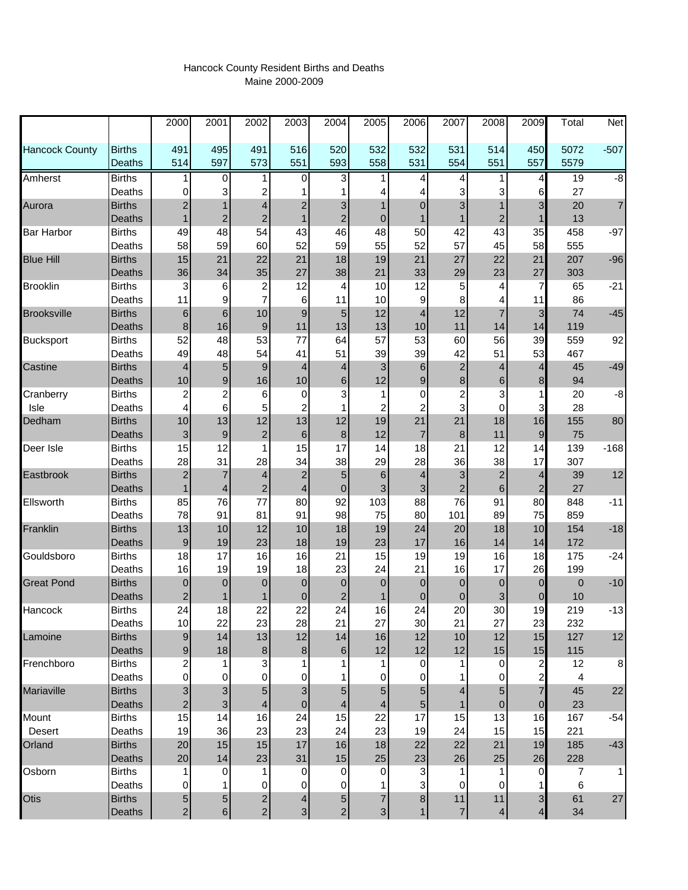## Hancock County Resident Births and Deaths Maine 2000-2009

|                       |                         | 2000                    | 2001             | 2002                    | 2003                     | 2004                    | 2005           | 2006             | 2007                      | 2008           | 2009                    | Total      | Net            |
|-----------------------|-------------------------|-------------------------|------------------|-------------------------|--------------------------|-------------------------|----------------|------------------|---------------------------|----------------|-------------------------|------------|----------------|
| <b>Hancock County</b> | <b>Births</b>           | 491                     | 495              | 491                     | 516                      | 520                     | 532            | 532              | 531                       | 514            | 450                     | 5072       | $-507$         |
|                       | Deaths                  | 514                     | 597              | 573                     | 551                      | 593                     | 558            | 531              | 554                       | 551            | 557                     | 5579       |                |
| Amherst               | <b>Births</b>           | 1                       | 0                | 1                       | 0                        | 3                       |                | 4                | 4                         | 1              | $\overline{4}$          | 19         | $-\frac{8}{3}$ |
|                       | Deaths                  | 0                       | 3                | $\overline{\mathbf{c}}$ |                          |                         | 4              |                  | 3                         | 3              | $6 \,$                  | 27         |                |
| Aurora                | <b>Births</b>           | $\overline{\mathbf{c}}$ |                  | 4                       | $\overline{c}$           | 3                       |                | $\overline{0}$   | 3                         |                | 3                       | 20         | $\overline{7}$ |
|                       | Deaths                  | 1                       | $\overline{c}$   | $\overline{c}$          | $\mathbf{1}$             | $\overline{c}$          | $\mathbf 0$    |                  | 1                         | $\overline{2}$ | $\mathbf{1}$            | 13         |                |
| <b>Bar Harbor</b>     | <b>Births</b>           | 49                      | 48               | 54                      | 43                       | 46                      | 48             | 50               | 42                        | 43             | 35                      | 458        | $-97$          |
|                       | Deaths                  | 58                      | 59               | 60                      | 52                       | 59                      | 55             | 52               | 57                        | 45             | 58                      | 555        |                |
| <b>Blue Hill</b>      | <b>Births</b>           | 15                      | 21               | 22                      | 21                       | 18                      | 19             | 21               | 27                        | 22             | 21                      | 207        | $-96$          |
|                       | Deaths                  | 36                      | 34               | 35                      | 27                       | 38                      | 21             | 33               | 29                        | 23             | 27                      | 303        |                |
| <b>Brooklin</b>       | <b>Births</b>           | 3                       | 6                | 2<br>$\overline{7}$     | 12                       | 4                       | 10             | 12<br>9          | 5                         | 4              | $\overline{7}$          | 65         | $-21$          |
| <b>Brooksville</b>    | Deaths<br><b>Births</b> | 11                      | 9<br>6           | 10                      | 6<br>$\mathsf g$         | 11<br>5                 | 10<br>12       | $\overline{4}$   | 8<br>12                   | 7              | 11                      | 86<br>74   | $-45$          |
|                       | Deaths                  | 6<br>$\bf8$             | 16               | $\boldsymbol{9}$        | 11                       | 13                      | 13             | 10               | 11                        | 14             | $\mathbf{3}$<br>14      | 119        |                |
| <b>Bucksport</b>      | <b>Births</b>           | 52                      | 48               | 53                      | 77                       | 64                      | 57             | 53               | 60                        | 56             | 39                      | 559        | 92             |
|                       | Deaths                  | 49                      | 48               | 54                      | 41                       | 51                      | 39             | 39               | 42                        | 51             | 53                      | 467        |                |
| Castine               | <b>Births</b>           | 4                       | $\sqrt{5}$       | 9                       | $\overline{4}$           | 4                       | 3              | $6\phantom{1}6$  | $\boldsymbol{2}$          | 4              | $\overline{4}$          | 45         | $-49$          |
|                       | Deaths                  | 10                      | 9                | 16                      | $10$                     | 6                       | 12             | 9                | $\bf8$                    | $\,6$          | $\bf 8$                 | 94         |                |
| Cranberry             | <b>Births</b>           | 2                       | 2                | 6                       | 0                        | 3                       | 1              | 0                | $\overline{c}$            | 3              | 1                       | 20         | -8             |
| Isle                  | Deaths                  | 4                       | 6                | 5                       | 2                        |                         | 2              | $\overline{c}$   | 3                         | 0              | 3                       | 28         |                |
| Dedham                | <b>Births</b>           | 10                      | 13               | 12                      | 13                       | 12                      | 19             | 21               | 21                        | 18             | 16                      | 155        | 80             |
|                       | Deaths                  | $\mathsf 3$             | $\boldsymbol{9}$ | $\overline{\mathbf{c}}$ | $\,6$                    | $\bf8$                  | 12             | $\overline{7}$   | $\bf8$                    | 11             | $\mathsf{9}$            | 75         |                |
| Deer Isle             | <b>Births</b>           | 15                      | 12               | 1                       | 15                       | 17                      | 14             | 18               | 21                        | 12             | 14                      | 139        | $-168$         |
|                       | Deaths                  | 28                      | 31               | 28                      | 34                       | 38                      | 29             | 28               | 36                        | 38             | 17                      | 307        |                |
| Eastbrook             | <b>Births</b>           | $\overline{\mathbf{c}}$ |                  | 4                       | $\overline{c}$           | 5                       | 6              | $\overline{4}$   | $\ensuremath{\mathsf{3}}$ | $\overline{2}$ | $\overline{4}$          | 39         | 12             |
|                       | Deaths                  | 1                       | 4                | $\overline{\mathbf{c}}$ | 4                        | $\pmb{0}$               | 3              | 3                | $\overline{\mathbf{c}}$   | $\,$ 6 $\,$    | $\overline{\mathbf{c}}$ | 27         |                |
| Ellsworth             | <b>Births</b>           | 85                      | 76               | 77                      | 80                       | 92                      | 103            | 88               | 76                        | 91             | 80                      | 848        | $-11$          |
|                       | Deaths                  | 78                      | 91               | 81                      | 91                       | 98                      | 75             | 80               | 101                       | 89             | 75                      | 859        |                |
| Franklin              | <b>Births</b>           | 13                      | 10               | 12                      | 10                       | 18                      | 19             | 24               | 20                        | 18             | 10                      | 154        | $-18$          |
|                       | Deaths                  | 9                       | 19               | 23                      | 18                       | 19                      | 23             | 17               | 16                        | 14             | 14                      | 172        |                |
| Gouldsboro            | <b>Births</b>           | 18                      | 17               | 16                      | 16                       | 21                      | 15             | 19               | 19                        | 16             | 18                      | 175        | $-24$          |
|                       | Deaths                  | 16                      | 19               | 19                      | 18                       | 23                      | 24             | 21               | 16                        | 17             | 26                      | 199        |                |
| <b>Great Pond</b>     | <b>Births</b>           | 0                       | $\overline{0}$   | 0                       | $\overline{0}$           | $\mathbf 0$             | $\mathbf 0$    | $\overline{0}$   | $\mathbf 0$               | $\mathbf 0$    | $\overline{0}$          | $\pmb{0}$  | $-10$          |
|                       | Deaths                  | $\overline{\mathbf{c}}$ |                  | 1                       | 0                        | $\overline{\mathbf{c}}$ | 1              | $\boldsymbol{0}$ | 0                         | 3              | $\pmb{0}$               | 10         |                |
| Hancock               | <b>Births</b>           | 24                      | 18               | 22                      | 22                       | 24                      | 16             | 24               | 20                        | 30             | 19                      | 219        | $-13$          |
|                       | Deaths<br><b>Births</b> | $10$<br>9               | 22<br>14         | 23<br>13                | 28<br>12                 | 21<br>14                | 27<br>16       | $30\,$<br>12     | 21<br>10                  | 27<br>12       | 23<br>15                | 232<br>127 | 12             |
| Lamoine               | Deaths                  | 9                       | 18               | $\bf 8$                 | $\bf8$                   | 6                       | 12             | 12               | 12                        | 15             | 15                      | 115        |                |
| Frenchboro            | <b>Births</b>           | 2                       |                  | 3                       | 1                        |                         |                | 0                |                           | 0              | $\mathbf{2}$            | 12         | $\bf 8$        |
|                       | Deaths                  | 0                       | 0                | 0                       | 0                        |                         | 0              | 0                |                           | $\Omega$       | $\mathbf{2}$            | 4          |                |
| Mariaville            | <b>Births</b>           | 3                       | 3                | 5                       | 3                        | 5                       | 5              | 5                | 4                         | 5              | $\overline{7}$          | 45         | 22             |
|                       | Deaths                  | $\overline{\mathbf{c}}$ | 3                | 4                       | $\mathbf{0}$             | 4                       | 4              | 5                | 1                         | $\pmb{0}$      | $\mathbf 0$             | 23         |                |
| Mount                 | <b>Births</b>           | 15                      | 14               | 16                      | 24                       | 15                      | 22             | 17               | 15                        | 13             | 16                      | 167        | $-54$          |
| Desert                | Deaths                  | 19                      | 36               | 23                      | 23                       | 24                      | 23             | 19               | 24                        | 15             | 15                      | 221        |                |
| Orland                | <b>Births</b>           | 20                      | 15               | 15                      | 17                       | 16                      | 18             | 22               | 22                        | 21             | 19                      | 185        | $-43$          |
|                       | Deaths                  | 20                      | 14               | 23                      | 31                       | 15                      | 25             | 23               | 26                        | 25             | 26                      | 228        |                |
| Osborn                | <b>Births</b>           | 1                       | 0                | 1                       | 0                        | 0                       | 0              | 3                |                           |                | $\overline{0}$          | 7          | $\mathbf{1}$   |
|                       | Deaths                  | 0                       |                  | 0                       | 0                        | 0                       |                |                  | 0                         | 0              | 1                       | 6          |                |
| Otis                  | <b>Births</b>           | 5                       | 5                | $\overline{2}$          | $\overline{\mathcal{A}}$ | 5                       | $\overline{7}$ | 8                | 11                        | 11             | $\mathbf{3}$            | 61         | 27             |
|                       | Deaths                  | $\overline{\mathbf{c}}$ | 6                | $\mathbf{2}$            | $\overline{\mathbf{3}}$  | $\overline{c}$          | 3              | 1                | $\overline{7}$            | 4              | $\overline{4}$          | 34         |                |